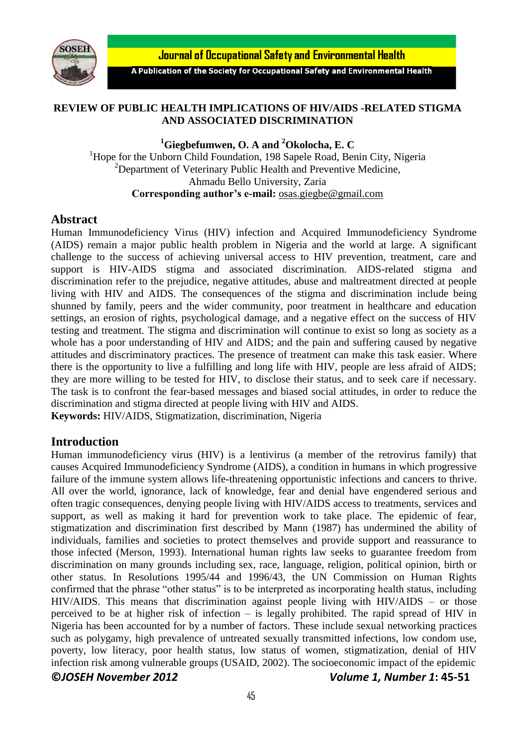

**Journal of Occupational Safety and Environmental Health** 

A Publication of the Society for Occupational Safety and Environmental Health

### **REVIEW OF PUBLIC HEALTH IMPLICATIONS OF HIV/AIDS -RELATED STIGMA AND ASSOCIATED DISCRIMINATION**

**<sup>1</sup>Giegbefumwen, O. A and <sup>2</sup>Okolocha, E. C**

<sup>1</sup>Hope for the Unborn Child Foundation, 198 Sapele Road, Benin City, Nigeria  $2$ Department of Veterinary Public Health and Preventive Medicine, Ahmadu Bello University, Zaria **Corresponding author's e-mail:** [osas.giegbe@gmail.com](mailto:osas.giegbe@gmail.com)

### **Abstract**

Human Immunodeficiency Virus (HIV) infection and [Acquired Immunodeficiency Syndrome](http://en.wikipedia.org/wiki/AIDS) (AIDS) remain a major public health problem in Nigeria and the world at large. A significant challenge to the success of achieving universal access to HIV prevention, treatment, care and support is HIV-AIDS stigma and associated discrimination. AIDS-related stigma and discrimination refer to the prejudice, negative attitudes, abuse and maltreatment directed at people living with [HIV](http://www.avert.org/hiv.htm) and AIDS. The consequences of the stigma and discrimination include being shunned by family, peers and the wider community, poor treatment in healthcare and education settings, an erosion of rights, psychological damage, and a negative effect on the success of HIV testing and treatment. The stigma and discrimination will continue to exist so long as society as a whole has a poor understanding of HIV and AIDS; and the pain and suffering caused by negative attitudes and discriminatory practices. The presence of treatment can make this task easier. Where there is the opportunity to live a fulfilling and long life with HIV, people are less afraid of AIDS; they are more willing to be tested for HIV, to disclose their status, and to seek care if necessary. The task is to confront the fear-based messages and biased social attitudes, in order to reduce the discrimination and stigma directed at people living with HIV and AIDS. **Keywords:** HIV/AIDS, Stigmatization, discrimination, Nigeria

# **Introduction**

**©***JOSEH November 2012 Volume 1, Number 1***: 45-51** Human immunodeficiency virus (HIV) is a [lentivirus](http://en.wikipedia.org/wiki/Lentivirus) (a member of the [retrovirus](http://en.wikipedia.org/wiki/Retrovirus) family) that causes [Acquired Immunodeficiency Syndrome](http://en.wikipedia.org/wiki/AIDS) (AIDS), a condition in humans in which progressive failure of the [immune system](http://en.wikipedia.org/wiki/Immune_system) allows life-threatening [opportunistic infections](http://en.wikipedia.org/wiki/Opportunistic_infection) and [cancers](http://en.wikipedia.org/wiki/Cancer) to thrive. All over the world, ignorance, lack of knowledge, fear and denial have engendered serious and often tragic consequences, denying people living with HIV/AIDS access to treatments, services and support, as well as making it hard for prevention work to take place. The epidemic of fear, stigmatization and discrimination first described by Mann (1987) has undermined the ability of individuals, families and societies to protect themselves and provide support and reassurance to those infected (Merson, 1993). International human rights law seeks to guarantee freedom from discrimination on many grounds including sex, race, language, religion, political opinion, birth or other status. In Resolutions 1995/44 and 1996/43, the UN Commission on Human Rights confirmed that the phrase "other status" is to be interpreted as incorporating health status, including HIV/AIDS. This means that discrimination against people living with HIV/AIDS – or those perceived to be at higher risk of infection – is legally prohibited. The rapid spread of HIV in Nigeria has been accounted for by a number of factors. These include sexual networking practices such as polygamy, high prevalence of untreated sexually transmitted infections, low condom use, poverty, low literacy, poor health status, low status of women, stigmatization, denial of HIV infection risk among vulnerable groups (USAID, 2002). The socioeconomic impact of the epidemic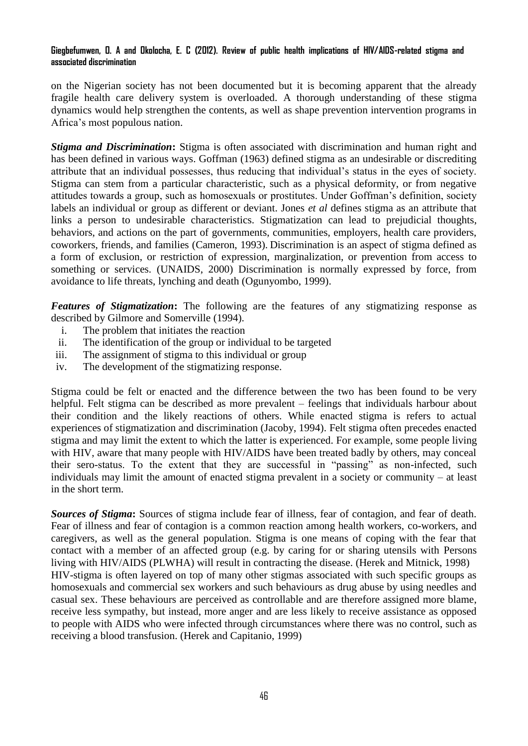#### **Giegbefumwen, O. A and Okolocha, E. C (2012). Review of public health implications of HIV/AIDS-related stigma and associated discrimination**

on the Nigerian society has not been documented but it is becoming apparent that the already fragile health care delivery system is overloaded. A thorough understanding of these stigma dynamics would help strengthen the contents, as well as shape prevention intervention programs in Africa's most populous nation.

*Stigma and Discrimination***:** Stigma is often associated with discrimination and human right and has been defined in various ways. Goffman (1963) defined stigma as an undesirable or discrediting attribute that an individual possesses, thus reducing that individual's status in the eyes of society. Stigma can stem from a particular characteristic, such as a physical deformity, or from negative attitudes towards a group, such as homosexuals or prostitutes. Under Goffman's definition, society labels an individual or group as different or deviant. Jones *et al* defines stigma as an attribute that links a person to undesirable characteristics. Stigmatization can lead to prejudicial thoughts, behaviors, and actions on the part of governments, communities, employers, health care providers, coworkers, friends, and families (Cameron, 1993). Discrimination is an aspect of stigma defined as a form of exclusion, or restriction of expression, marginalization, or prevention from access to something or services. (UNAIDS, 2000) Discrimination is normally expressed by force, from avoidance to life threats, lynching and death (Ogunyombo, 1999).

*Features of Stigmatization***:** The following are the features of any stigmatizing response as described by Gilmore and Somerville (1994).

- i. The problem that initiates the reaction
- ii. The identification of the group or individual to be targeted
- iii. The assignment of stigma to this individual or group
- iv. The development of the stigmatizing response.

Stigma could be felt or enacted and the difference between the two has been found to be very helpful. Felt stigma can be described as more prevalent – feelings that individuals harbour about their condition and the likely reactions of others. While enacted stigma is refers to actual experiences of stigmatization and discrimination (Jacoby, 1994). Felt stigma often precedes enacted stigma and may limit the extent to which the latter is experienced. For example, some people living with HIV, aware that many people with HIV/AIDS have been treated badly by others, may conceal their sero-status. To the extent that they are successful in "passing" as non-infected, such individuals may limit the amount of enacted stigma prevalent in a society or community – at least in the short term.

*Sources of Stigma***:** Sources of stigma include fear of illness, fear of contagion, and fear of death. Fear of illness and fear of contagion is a common reaction among health workers, co-workers, and caregivers, as well as the general population. Stigma is one means of coping with the fear that contact with a member of an affected group (e.g. by caring for or sharing utensils with Persons living with HIV/AIDS (PLWHA) will result in contracting the disease. (Herek and Mitnick, 1998) HIV-stigma is often layered on top of many other stigmas associated with such specific groups as homosexuals and commercial sex workers and such behaviours as drug abuse by using needles and casual sex. These behaviours are perceived as controllable and are therefore assigned more blame, receive less sympathy, but instead, more anger and are less likely to receive assistance as opposed to people with AIDS who were infected through circumstances where there was no control, such as receiving a blood transfusion. (Herek and Capitanio, 1999)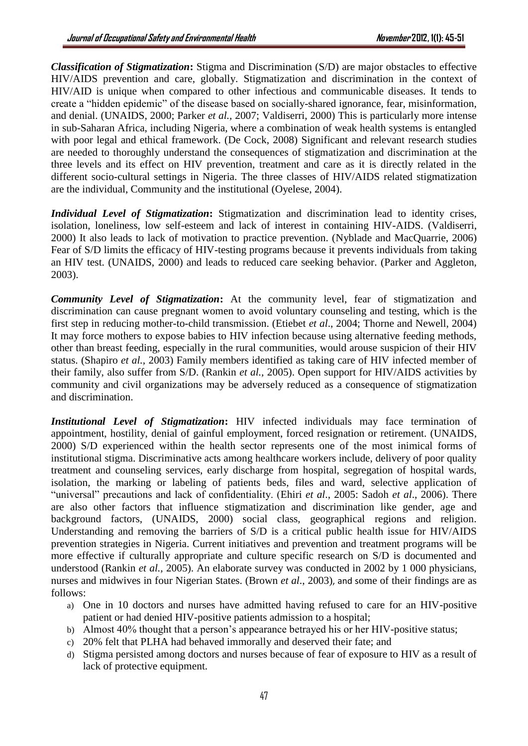*Classification of Stigmatization***:** Stigma and Discrimination (S/D) are major obstacles to effective HIV/AIDS prevention and care, globally. Stigmatization and discrimination in the context of HIV/AID is unique when compared to other infectious and communicable diseases. It tends to create a "hidden epidemic" of the disease based on socially-shared ignorance, fear, misinformation, and denial. (UNAIDS, 2000; Parker *et al.,* 2007; Valdiserri, 2000) This is particularly more intense in sub-Saharan Africa, including Nigeria, where a combination of weak health systems is entangled with poor legal and ethical framework. (De Cock, 2008) Significant and relevant research studies are needed to thoroughly understand the consequences of stigmatization and discrimination at the three levels and its effect on HIV prevention, treatment and care as it is directly related in the different socio-cultural settings in Nigeria. The three classes of HIV/AIDS related stigmatization are the individual, Community and the institutional (Oyelese, 2004).

*Individual Level of Stigmatization***:** Stigmatization and discrimination lead to identity crises, isolation, loneliness, low self-esteem and lack of interest in containing HIV-AIDS. (Valdiserri, 2000) It also leads to lack of motivation to practice prevention. (Nyblade and MacQuarrie, 2006) Fear of S/D limits the efficacy of HIV-testing programs because it prevents individuals from taking an HIV test. (UNAIDS, 2000) and leads to reduced care seeking behavior. (Parker and Aggleton, 2003).

*Community Level of Stigmatization***:** At the community level, fear of stigmatization and discrimination can cause pregnant women to avoid voluntary counseling and testing, which is the first step in reducing mother-to-child transmission. (Etiebet *et al*., 2004; Thorne and Newell, 2004) It may force mothers to expose babies to HIV infection because using alternative feeding methods, other than breast feeding, especially in the rural communities, would arouse suspicion of their HIV status. (Shapiro *et al.,* 2003) Family members identified as taking care of HIV infected member of their family, also suffer from S/D. (Rankin *et al.,* 2005). Open support for HIV/AIDS activities by community and civil organizations may be adversely reduced as a consequence of stigmatization and discrimination.

*Institutional Level of Stigmatization***:** HIV infected individuals may face termination of appointment, hostility, denial of gainful employment, forced resignation or retirement. (UNAIDS, 2000) S/D experienced within the health sector represents one of the most inimical forms of institutional stigma. Discriminative acts among healthcare workers include, delivery of poor quality treatment and counseling services, early discharge from hospital, segregation of hospital wards, isolation, the marking or labeling of patients beds, files and ward, selective application of "universal" precautions and lack of confidentiality. (Ehiri *et al*., 2005: Sadoh *et al*., 2006). There are also other factors that influence stigmatization and discrimination like gender, age and background factors, (UNAIDS, 2000) social class, geographical regions and religion. Understanding and removing the barriers of S/D is a critical public health issue for HIV/AIDS prevention strategies in Nigeria. Current initiatives and prevention and treatment programs will be more effective if culturally appropriate and culture specific research on S/D is documented and understood (Rankin *et al.,* 2005). An elaborate survey was conducted in 2002 by 1 000 physicians, nurses and midwives in four Nigerian States. (Brown *et al*., 2003), and some of their findings are as follows:

- a) One in 10 doctors and nurses have admitted having refused to care for an HIV-positive patient or had denied HIV-positive patients admission to a hospital;
- b) Almost 40% thought that a person's appearance betrayed his or her HIV-positive status;
- c) 20% felt that PLHA had behaved immorally and deserved their fate; and
- d) Stigma persisted among doctors and nurses because of fear of exposure to HIV as a result of lack of protective equipment.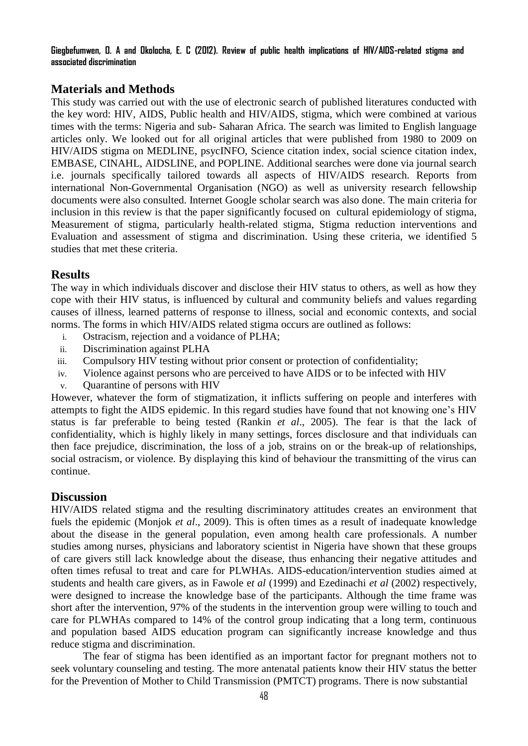**Giegbefumwen, O. A and Okolocha, E. C (2012). Review of public health implications of HIV/AIDS-related stigma and associated discrimination**

# **Materials and Methods**

This study was carried out with the use of electronic search of published literatures conducted with the key word: HIV, AIDS, Public health and HIV/AIDS, stigma, which were combined at various times with the terms: Nigeria and sub- Saharan Africa. The search was limited to English language articles only. We looked out for all original articles that were published from 1980 to 2009 on HIV/AIDS stigma on MEDLINE, psycINFO, Science citation index, social science citation index, EMBASE, CINAHL, AIDSLINE, and POPLINE. Additional searches were done via journal search i.e. journals specifically tailored towards all aspects of HIV/AIDS research. Reports from international Non-Governmental Organisation (NGO) as well as university research fellowship documents were also consulted. Internet Google scholar search was also done. The main criteria for inclusion in this review is that the paper significantly focused on cultural epidemiology of stigma, Measurement of stigma, particularly health-related stigma, Stigma reduction interventions and Evaluation and assessment of stigma and discrimination. Using these criteria, we identified 5 studies that met these criteria.

# **Results**

The way in which individuals discover and disclose their HIV status to others, as well as how they cope with their HIV status, is influenced by cultural and community beliefs and values regarding causes of illness, learned patterns of response to illness, social and economic contexts, and social norms. The forms in which HIV/AIDS related stigma occurs are outlined as follows:

- i. Ostracism, rejection and a voidance of PLHA;
- ii. Discrimination against PLHA
- iii. Compulsory HIV testing without prior consent or protection of confidentiality;
- iv. Violence against persons who are perceived to have AIDS or to be infected with HIV
- v. Quarantine of persons with HIV

However, whatever the form of stigmatization, it inflicts suffering on people and interferes with attempts to fight the AIDS epidemic. In this regard studies have found that not knowing one's HIV status is far preferable to being tested (Rankin *et al*., 2005). The fear is that the lack of confidentiality, which is highly likely in many settings, forces disclosure and that individuals can then face prejudice, discrimination, the loss of a job, strains on or the break-up of relationships, social ostracism, or violence. By displaying this kind of behaviour the transmitting of the virus can continue.

## **Discussion**

HIV/AIDS related stigma and the resulting discriminatory attitudes creates an environment that fuels the epidemic (Monjok *et al*., 2009). This is often times as a result of inadequate knowledge about the disease in the general population, even among health care professionals. A number studies among nurses, physicians and laboratory scientist in Nigeria have shown that these groups of care givers still lack knowledge about the disease, thus enhancing their negative attitudes and often times refusal to treat and care for PLWHAs. AIDS-education/intervention studies aimed at students and health care givers, as in Fawole e*t al* (1999) and Ezedinachi *et al* (2002) respectively, were designed to increase the knowledge base of the participants. Although the time frame was short after the intervention, 97% of the students in the intervention group were willing to touch and care for PLWHAs compared to 14% of the control group indicating that a long term, continuous and population based AIDS education program can significantly increase knowledge and thus reduce stigma and discrimination.

The fear of stigma has been identified as an important factor for pregnant mothers not to seek voluntary counseling and testing. The more antenatal patients know their HIV status the better for the Prevention of Mother to Child Transmission (PMTCT) programs. There is now substantial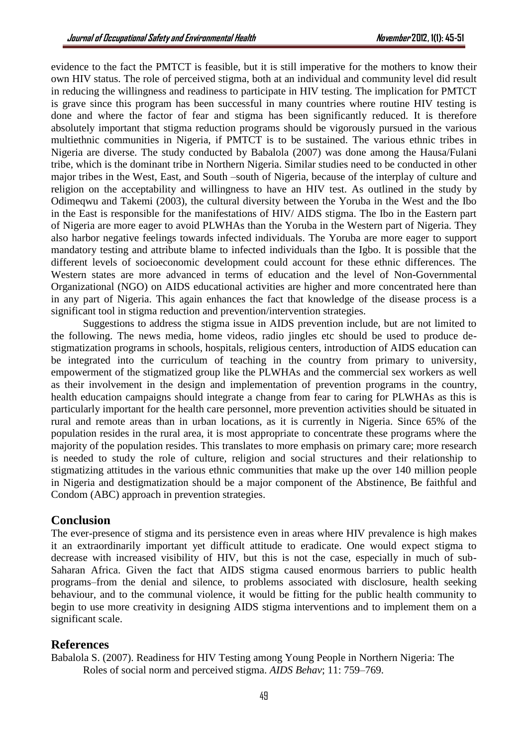evidence to the fact the PMTCT is feasible, but it is still imperative for the mothers to know their own HIV status. The role of perceived stigma, both at an individual and community level did result in reducing the willingness and readiness to participate in HIV testing. The implication for PMTCT is grave since this program has been successful in many countries where routine HIV testing is done and where the factor of fear and stigma has been significantly reduced. It is therefore absolutely important that stigma reduction programs should be vigorously pursued in the various multiethnic communities in Nigeria, if PMTCT is to be sustained. The various ethnic tribes in Nigeria are diverse. The study conducted by Babalola (2007) was done among the Hausa/Fulani tribe, which is the dominant tribe in Northern Nigeria. Similar studies need to be conducted in other major tribes in the West, East, and South –south of Nigeria, because of the interplay of culture and religion on the acceptability and willingness to have an HIV test. As outlined in the study by Odimeqwu and Takemi (2003), the cultural diversity between the Yoruba in the West and the Ibo in the East is responsible for the manifestations of HIV/ AIDS stigma. The Ibo in the Eastern part of Nigeria are more eager to avoid PLWHAs than the Yoruba in the Western part of Nigeria. They also harbor negative feelings towards infected individuals. The Yoruba are more eager to support mandatory testing and attribute blame to infected individuals than the Igbo. It is possible that the different levels of socioeconomic development could account for these ethnic differences. The Western states are more advanced in terms of education and the level of Non-Governmental Organizational (NGO) on AIDS educational activities are higher and more concentrated here than in any part of Nigeria. This again enhances the fact that knowledge of the disease process is a significant tool in stigma reduction and prevention/intervention strategies.

Suggestions to address the stigma issue in AIDS prevention include, but are not limited to the following. The news media, home videos, radio jingles etc should be used to produce destigmatization programs in schools, hospitals, religious centers, introduction of AIDS education can be integrated into the curriculum of teaching in the country from primary to university, empowerment of the stigmatized group like the PLWHAs and the commercial sex workers as well as their involvement in the design and implementation of prevention programs in the country, health education campaigns should integrate a change from fear to caring for PLWHAs as this is particularly important for the health care personnel, more prevention activities should be situated in rural and remote areas than in urban locations, as it is currently in Nigeria. Since 65% of the population resides in the rural area, it is most appropriate to concentrate these programs where the majority of the population resides. This translates to more emphasis on primary care; more research is needed to study the role of culture, religion and social structures and their relationship to stigmatizing attitudes in the various ethnic communities that make up the over 140 million people in Nigeria and destigmatization should be a major component of the Abstinence, Be faithful and Condom (ABC) approach in prevention strategies.

## **Conclusion**

The ever-presence of stigma and its persistence even in areas where HIV prevalence is high makes it an extraordinarily important yet difficult attitude to eradicate. One would expect stigma to decrease with increased visibility of HIV, but this is not the case, especially in much of sub-Saharan Africa. Given the fact that AIDS stigma caused enormous barriers to public health programs–from the denial and silence, to problems associated with disclosure, health seeking behaviour, and to the communal violence, it would be fitting for the public health community to begin to use more creativity in designing AIDS stigma interventions and to implement them on a significant scale.

## **References**

Babalola S. (2007). Readiness for HIV Testing among Young People in Northern Nigeria: The Roles of social norm and perceived stigma. *AIDS Behav*; 11: 759–769.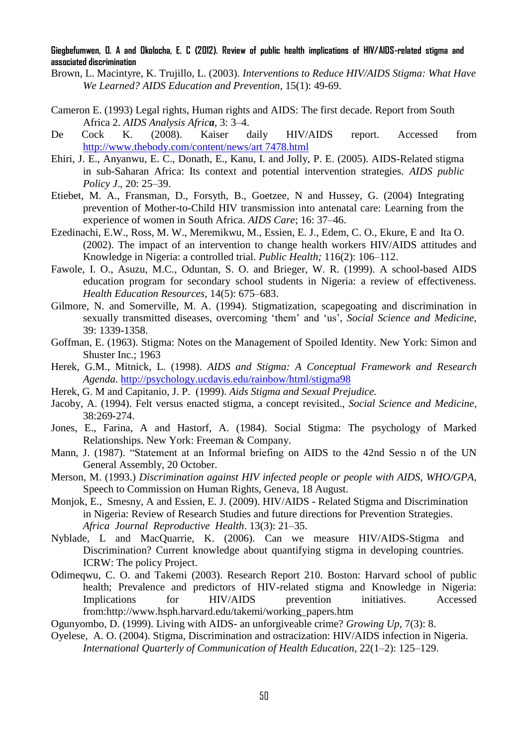#### **Giegbefumwen, O. A and Okolocha, E. C (2012). Review of public health implications of HIV/AIDS-related stigma and associated discrimination**

- Brown, L. Macintyre, K. Trujillo, L. (2003). *Interventions to Reduce HIV/AIDS Stigma: What Have We Learned? AIDS Education and Prevention*, 15(1): 49-69.
- Cameron E. (1993) Legal rights, Human rights and AIDS: The first decade. Report from South Africa 2. *AIDS Analysis Africa*, 3: 3–4.
- De Cock K. (2008). Kaiser daily HIV/AIDS report. Accessed from [http://www.thebody.com/content/news/art 7478.html](http://www.thebody.com/content/news/art7478.html)
- Ehiri, J. E., Anyanwu, E. C., Donath, E., Kanu, I. and Jolly, P. E. (2005). AIDS-Related stigma in sub-Saharan Africa: Its context and potential intervention strategies. *AIDS public Policy J*., 20: 25–39.
- Etiebet, M. A., Fransman, D., Forsyth, B., Goetzee, N and Hussey, G. (2004) Integrating prevention of Mother-to-Child HIV transmission into antenatal care: Learning from the experience of women in South Africa. *AIDS Care*; 16: 37–46.
- Ezedinachi, E.W., Ross, M. W., Meremikwu, M., Essien, E. J., Edem, C. O., Ekure, E and Ita O. (2002). The impact of an intervention to change health workers HIV/AIDS attitudes and Knowledge in Nigeria: a controlled trial. *Public Health;* 116(2): 106–112.
- Fawole, I. O., Asuzu, M.C., Oduntan, S. O. and Brieger, W. R. (1999). A school-based AIDS education program for secondary school students in Nigeria: a review of effectiveness. *Health Education Resources*, 14(5): 675–683.
- Gilmore, N. and Somerville, M. A. (1994). Stigmatization, scapegoating and discrimination in sexually transmitted diseases, overcoming 'them' and 'us', *Social Science and Medicine,*  39: 1339-1358.
- Goffman, E. (1963). Stigma: Notes on the Management of Spoiled Identity. New York: Simon and Shuster Inc.; 1963
- Herek, G.M., Mitnick, L. (1998). *AIDS and Stigma: A Conceptual Framework and Research Agenda.* <http://psychology.ucdavis.edu/rainbow/html/stigma98>
- Herek, G. M and Capitanio, J. P. (1999). *Aids Stigma and Sexual Prejudice.*
- Jacoby, A. (1994). Felt versus enacted stigma, a concept revisited., *Social Science and Medicine,*  38:269-274.
- Jones, E., Farina, A and Hastorf, A. (1984). Social Stigma: The psychology of Marked Relationships. New York: Freeman & Company.
- Mann, J. (1987). "Statement at an Informal briefing on AIDS to the 42nd Sessio n of the UN General Assembly, 20 October.
- Merson, M. (1993.) *Discrimination against HIV infected people or people with AIDS, WHO/GPA,*  Speech to Commission on Human Rights, Geneva, 18 August.
- Monjok, E., Smesny, A and Essien, E. J. (2009). HIV/AIDS Related Stigma and Discrimination in Nigeria: Review of Research Studies and future directions for Prevention Strategies. *Africa Journal Reproductive Health*. 13(3): 21–35.
- Nyblade, L and MacQuarrie, K. (2006). Can we measure HIV/AIDS-Stigma and Discrimination? Current knowledge about quantifying stigma in developing countries. ICRW: The policy Project.
- Odimeqwu, C. O. and Takemi (2003). Research Report 210. Boston: Harvard school of public health; Prevalence and predictors of HIV-related stigma and Knowledge in Nigeria: Implications for HIV/AIDS prevention initiatives. Accessed from:http://www.hsph.harvard.edu/takemi/working\_papers.htm

Ogunyombo, D. (1999). Living with AIDS- an unforgiveable crime? *Growing Up,* 7(3): 8.

Oyelese, A. O. (2004). Stigma, Discrimination and ostracization: HIV/AIDS infection in Nigeria. *International Quarterly of Communication of Health Education*, 22(1–2): 125–129.